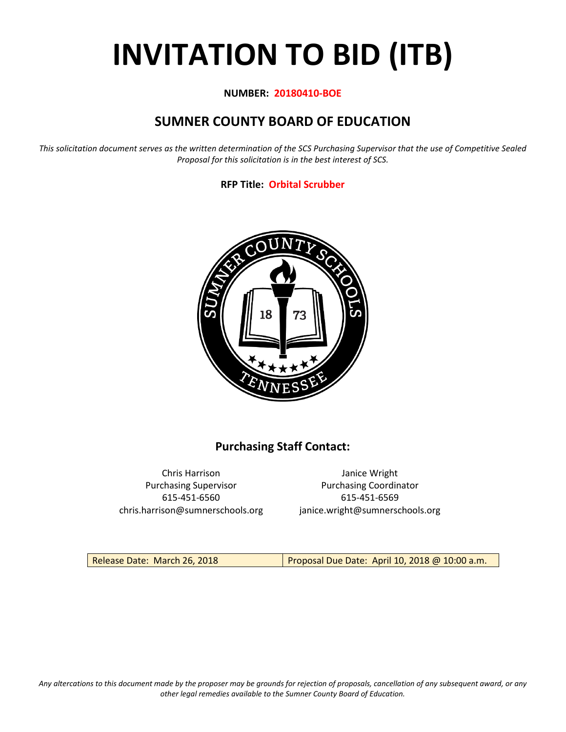# **INVITATION TO BID (ITB)**

#### **NUMBER: 20180410-BOE**

# **SUMNER COUNTY BOARD OF EDUCATION**

*This solicitation document serves as the written determination of the SCS Purchasing Supervisor that the use of Competitive Sealed Proposal for this solicitation is in the best interest of SCS.*

#### **RFP Title: Orbital Scrubber**



## **Purchasing Staff Contact:**

Chris Harrison Janice Wright 615-451-6560 615-451-6569 chris.harrison@sumnerschools.org janice.wright@sumnerschools.org

Purchasing Supervisor **Purchasing Coordinator** 

Release Date: March 26, 2018 **Proposal Due Date: April 10, 2018 @ 10:00 a.m.**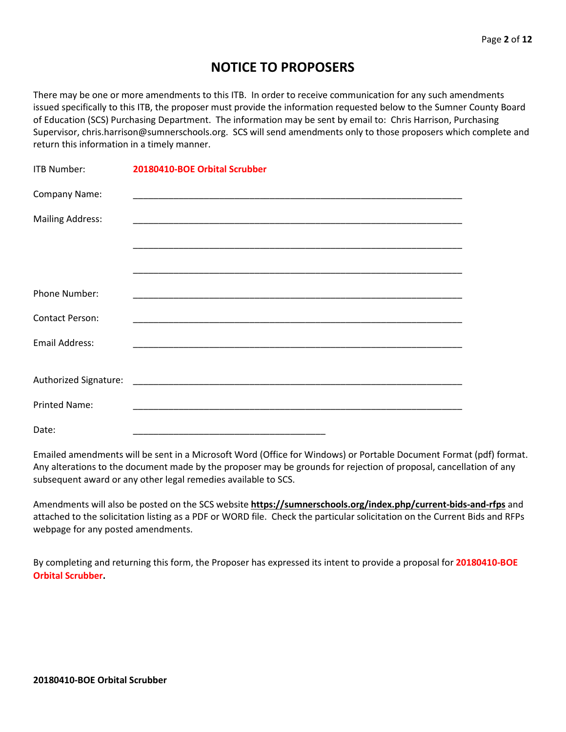# **NOTICE TO PROPOSERS**

There may be one or more amendments to this ITB. In order to receive communication for any such amendments issued specifically to this ITB, the proposer must provide the information requested below to the Sumner County Board of Education (SCS) Purchasing Department. The information may be sent by email to: Chris Harrison, Purchasing Supervisor, chris.harrison@sumnerschools.org. SCS will send amendments only to those proposers which complete and return this information in a timely manner.

| <b>ITB Number:</b>      | 20180410-BOE Orbital Scrubber |
|-------------------------|-------------------------------|
| Company Name:           |                               |
| <b>Mailing Address:</b> |                               |
|                         |                               |
|                         |                               |
| Phone Number:           |                               |
| <b>Contact Person:</b>  |                               |
| <b>Email Address:</b>   |                               |
|                         |                               |
|                         |                               |
| <b>Printed Name:</b>    |                               |
| Date:                   |                               |

Emailed amendments will be sent in a Microsoft Word (Office for Windows) or Portable Document Format (pdf) format. Any alterations to the document made by the proposer may be grounds for rejection of proposal, cancellation of any subsequent award or any other legal remedies available to SCS.

Amendments will also be posted on the SCS website **https://sumnerschools.org/index.php/current-bids-and-rfps** and attached to the solicitation listing as a PDF or WORD file. Check the particular solicitation on the Current Bids and RFPs webpage for any posted amendments.

By completing and returning this form, the Proposer has expressed its intent to provide a proposal for **20180410-BOE Orbital Scrubber.**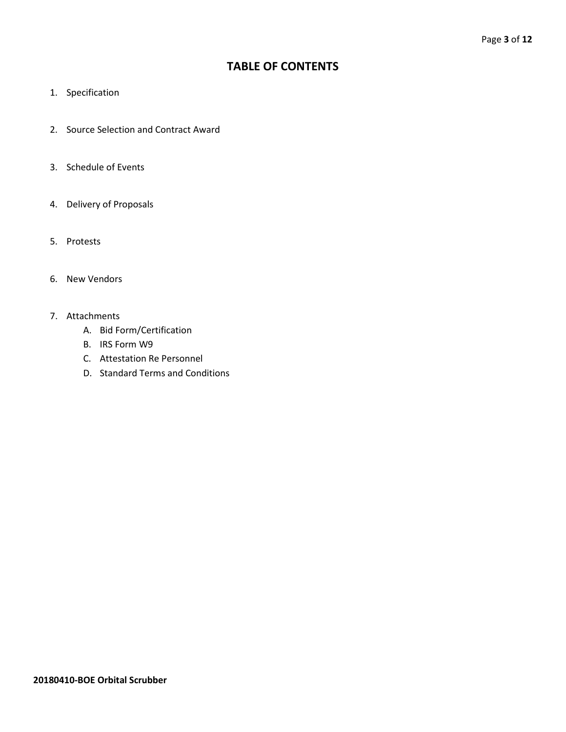### **TABLE OF CONTENTS**

- 1. Specification
- 2. Source Selection and Contract Award
- 3. Schedule of Events
- 4. Delivery of Proposals
- 5. Protests
- 6. New Vendors
- 7. Attachments
	- A. Bid Form/Certification
	- B. IRS Form W9
	- C. Attestation Re Personnel
	- D. Standard Terms and Conditions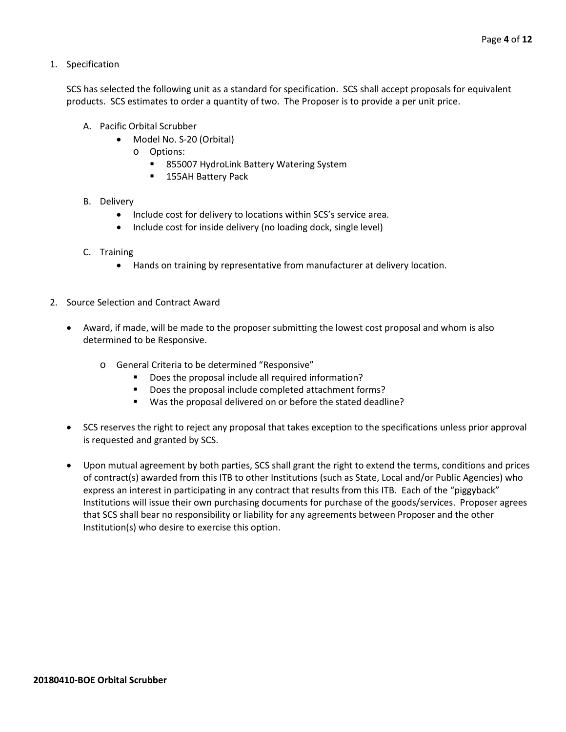1. Specification

SCS has selected the following unit as a standard for specification. SCS shall accept proposals for equivalent products. SCS estimates to order a quantity of two. The Proposer is to provide a per unit price.

- A. Pacific Orbital Scrubber
	- Model No. S-20 (Orbital)
		- o Options:
			- 855007 HydroLink Battery Watering System
			- **155AH Battery Pack**
- B. Delivery
	- Include cost for delivery to locations within SCS's service area.
	- Include cost for inside delivery (no loading dock, single level)
- C. Training
	- Hands on training by representative from manufacturer at delivery location.
- 2. Source Selection and Contract Award
	- Award, if made, will be made to the proposer submitting the lowest cost proposal and whom is also determined to be Responsive.
		- o General Criteria to be determined "Responsive"
			- Does the proposal include all required information?
			- Does the proposal include completed attachment forms?
			- Was the proposal delivered on or before the stated deadline?
	- SCS reserves the right to reject any proposal that takes exception to the specifications unless prior approval is requested and granted by SCS.
	- Upon mutual agreement by both parties, SCS shall grant the right to extend the terms, conditions and prices of contract(s) awarded from this ITB to other Institutions (such as State, Local and/or Public Agencies) who express an interest in participating in any contract that results from this ITB. Each of the "piggyback" Institutions will issue their own purchasing documents for purchase of the goods/services. Proposer agrees that SCS shall bear no responsibility or liability for any agreements between Proposer and the other Institution(s) who desire to exercise this option.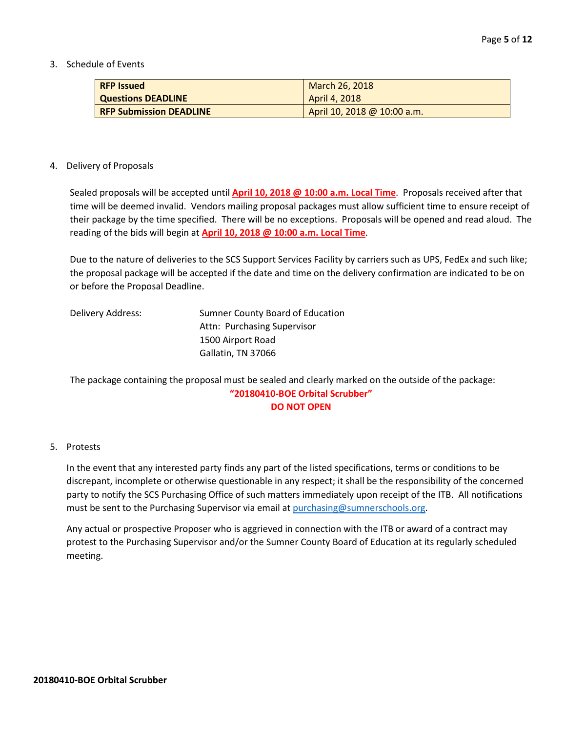3. Schedule of Events

| <b>RFP Issued</b>              | March 26, 2018              |
|--------------------------------|-----------------------------|
| <b>Questions DEADLINE</b>      | April 4, 2018               |
| <b>RFP Submission DEADLINE</b> | April 10, 2018 @ 10:00 a.m. |

#### 4. Delivery of Proposals

Sealed proposals will be accepted until **April 10, 2018 @ 10:00 a.m. Local Time**. Proposals received after that time will be deemed invalid. Vendors mailing proposal packages must allow sufficient time to ensure receipt of their package by the time specified. There will be no exceptions. Proposals will be opened and read aloud. The reading of the bids will begin at **April 10, 2018 @ 10:00 a.m. Local Time**.

Due to the nature of deliveries to the SCS Support Services Facility by carriers such as UPS, FedEx and such like; the proposal package will be accepted if the date and time on the delivery confirmation are indicated to be on or before the Proposal Deadline.

| Delivery Address: | Sumner County Board of Education |
|-------------------|----------------------------------|
|                   | Attn: Purchasing Supervisor      |
|                   | 1500 Airport Road                |
|                   | Gallatin, TN 37066               |

The package containing the proposal must be sealed and clearly marked on the outside of the package: **"20180410-BOE Orbital Scrubber" DO NOT OPEN**

#### 5. Protests

In the event that any interested party finds any part of the listed specifications, terms or conditions to be discrepant, incomplete or otherwise questionable in any respect; it shall be the responsibility of the concerned party to notify the SCS Purchasing Office of such matters immediately upon receipt of the ITB. All notifications must be sent to the Purchasing Supervisor via email at [purchasing@sumnerschools.org.](mailto:purchasing@sumnerschools.org)

Any actual or prospective Proposer who is aggrieved in connection with the ITB or award of a contract may protest to the Purchasing Supervisor and/or the Sumner County Board of Education at its regularly scheduled meeting.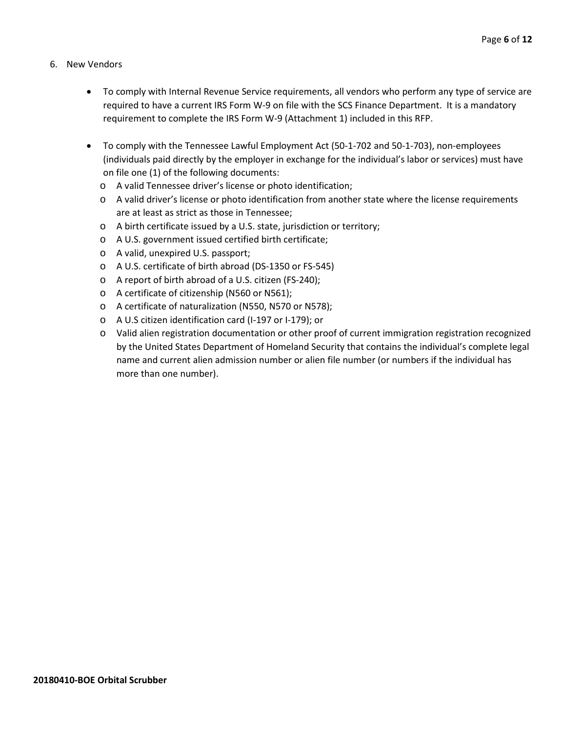- 6. New Vendors
	- To comply with Internal Revenue Service requirements, all vendors who perform any type of service are required to have a current IRS Form W-9 on file with the SCS Finance Department. It is a mandatory requirement to complete the IRS Form W-9 (Attachment 1) included in this RFP.
	- To comply with the Tennessee Lawful Employment Act (50-1-702 and 50-1-703), non-employees (individuals paid directly by the employer in exchange for the individual's labor or services) must have on file one (1) of the following documents:
		- o A valid Tennessee driver's license or photo identification;
		- o A valid driver's license or photo identification from another state where the license requirements are at least as strict as those in Tennessee;
		- o A birth certificate issued by a U.S. state, jurisdiction or territory;
		- o A U.S. government issued certified birth certificate;
		- o A valid, unexpired U.S. passport;
		- o A U.S. certificate of birth abroad (DS-1350 or FS-545)
		- o A report of birth abroad of a U.S. citizen (FS-240);
		- o A certificate of citizenship (N560 or N561);
		- o A certificate of naturalization (N550, N570 or N578);
		- o A U.S citizen identification card (I-197 or I-179); or
		- o Valid alien registration documentation or other proof of current immigration registration recognized by the United States Department of Homeland Security that contains the individual's complete legal name and current alien admission number or alien file number (or numbers if the individual has more than one number).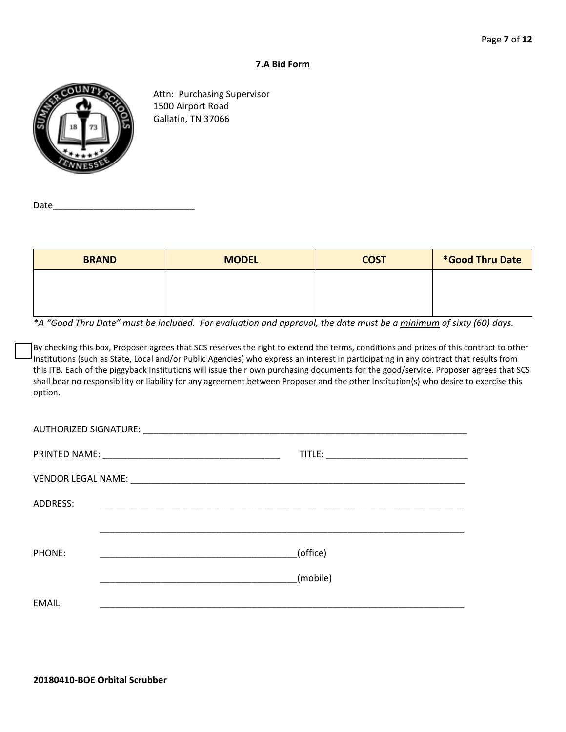#### **7.A Bid Form**



Attn: Purchasing Supervisor 1500 Airport Road Gallatin, TN 37066

Date\_

| <b>BRAND</b> | <b>MODEL</b> | <b>COST</b> | *Good Thru Date |
|--------------|--------------|-------------|-----------------|
|              |              |             |                 |
|              |              |             |                 |

*\*A "Good Thru Date" must be included. For evaluation and approval, the date must be a minimum of sixty (60) days.*

By checking this box, Proposer agrees that SCS reserves the right to extend the terms, conditions and prices of this contract to other Institutions (such as State, Local and/or Public Agencies) who express an interest in participating in any contract that results from this ITB. Each of the piggyback Institutions will issue their own purchasing documents for the good/service. Proposer agrees that SCS shall bear no responsibility or liability for any agreement between Proposer and the other Institution(s) who desire to exercise this option.

| ADDRESS: |          |
|----------|----------|
|          |          |
| PHONE:   | (office) |
|          | (mobile) |
| EMAIL:   |          |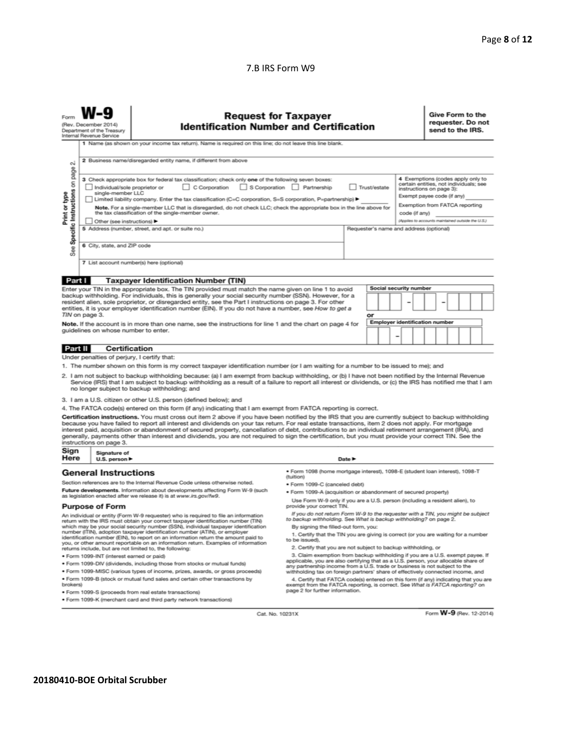#### 7.B IRS Form W9

|                                                                                                                                                                                                                                                                                                                                                                                                                                                                                                                                                                                                                                                                                                                                                                                                                                                                                                                                                                                                                                                                                                                                                                                                                                                                                                                                                                                    | <b>Request for Taxpayer</b><br>(Rev. December 2014)<br><b>Identification Number and Certification</b><br>Department of the Treasury<br>Internal Revenue Service<br>1 Name (as shown on your income tax return). Name is required on this line; do not leave this line blank. |                                                                                                                                                                                                                                                                                                                                                                       |                                                                                                                                                                                                                                                     |  |  |  |  |                        |  | send to the IRS. |  | Give Form to the<br>requester. Do not |
|------------------------------------------------------------------------------------------------------------------------------------------------------------------------------------------------------------------------------------------------------------------------------------------------------------------------------------------------------------------------------------------------------------------------------------------------------------------------------------------------------------------------------------------------------------------------------------------------------------------------------------------------------------------------------------------------------------------------------------------------------------------------------------------------------------------------------------------------------------------------------------------------------------------------------------------------------------------------------------------------------------------------------------------------------------------------------------------------------------------------------------------------------------------------------------------------------------------------------------------------------------------------------------------------------------------------------------------------------------------------------------|------------------------------------------------------------------------------------------------------------------------------------------------------------------------------------------------------------------------------------------------------------------------------|-----------------------------------------------------------------------------------------------------------------------------------------------------------------------------------------------------------------------------------------------------------------------------------------------------------------------------------------------------------------------|-----------------------------------------------------------------------------------------------------------------------------------------------------------------------------------------------------------------------------------------------------|--|--|--|--|------------------------|--|------------------|--|---------------------------------------|
| 2 Business name/disregarded entity name, if different from above<br>οû<br>page<br>4 Exemptions (codes apply only to<br>3 Check appropriate box for federal tax classification; check only one of the following seven boxes:<br>Specific Instructions on<br>certain entities, not individuals; see<br>C Corporation<br>S Corporation Partnership<br>Individual/sole proprietor or<br>Trust/estate<br>instructions on page 3):<br>single-member LLC<br>Print or type<br>Exempt payee code (if any)<br>Limited liability company. Enter the tax classification (C=C corporation, S=S corporation, P=partnership) ▶<br>Exemption from FATCA reporting<br>Note. For a single-member LLC that is disregarded, do not check LLC; check the appropriate box in the line above for<br>the tax classification of the single-member owner.<br>code (if anv)<br>(Applies to accounts maintained outside the U.S.)<br>Other (see instructions)<br>5 Address (number, street, and apt. or suite no.)<br>Requester's name and address (optional)<br>6 City, state, and ZIP code<br>See<br>7 List account number(s) here (optional)                                                                                                                                                                                                                                                                |                                                                                                                                                                                                                                                                              |                                                                                                                                                                                                                                                                                                                                                                       |                                                                                                                                                                                                                                                     |  |  |  |  |                        |  |                  |  |                                       |
| Part I                                                                                                                                                                                                                                                                                                                                                                                                                                                                                                                                                                                                                                                                                                                                                                                                                                                                                                                                                                                                                                                                                                                                                                                                                                                                                                                                                                             |                                                                                                                                                                                                                                                                              | <b>Taxpayer Identification Number (TIN)</b>                                                                                                                                                                                                                                                                                                                           |                                                                                                                                                                                                                                                     |  |  |  |  |                        |  |                  |  |                                       |
|                                                                                                                                                                                                                                                                                                                                                                                                                                                                                                                                                                                                                                                                                                                                                                                                                                                                                                                                                                                                                                                                                                                                                                                                                                                                                                                                                                                    |                                                                                                                                                                                                                                                                              | Enter your TIN in the appropriate box. The TIN provided must match the name given on line 1 to avoid                                                                                                                                                                                                                                                                  |                                                                                                                                                                                                                                                     |  |  |  |  | Social security number |  |                  |  |                                       |
| backup withholding. For individuals, this is generally your social security number (SSN). However, for a<br>resident alien, sole proprietor, or disregarded entity, see the Part I instructions on page 3. For other<br>entities, it is your employer identification number (EIN). If you do not have a number, see How to get a<br>TIN on page 3.                                                                                                                                                                                                                                                                                                                                                                                                                                                                                                                                                                                                                                                                                                                                                                                                                                                                                                                                                                                                                                 |                                                                                                                                                                                                                                                                              |                                                                                                                                                                                                                                                                                                                                                                       | or<br><b>Employer identification number</b>                                                                                                                                                                                                         |  |  |  |  |                        |  |                  |  |                                       |
|                                                                                                                                                                                                                                                                                                                                                                                                                                                                                                                                                                                                                                                                                                                                                                                                                                                                                                                                                                                                                                                                                                                                                                                                                                                                                                                                                                                    | guidelines on whose number to enter.                                                                                                                                                                                                                                         | Note. If the account is in more than one name, see the instructions for line 1 and the chart on page 4 for                                                                                                                                                                                                                                                            |                                                                                                                                                                                                                                                     |  |  |  |  |                        |  |                  |  |                                       |
| Part II                                                                                                                                                                                                                                                                                                                                                                                                                                                                                                                                                                                                                                                                                                                                                                                                                                                                                                                                                                                                                                                                                                                                                                                                                                                                                                                                                                            |                                                                                                                                                                                                                                                                              | <b>Certification</b>                                                                                                                                                                                                                                                                                                                                                  |                                                                                                                                                                                                                                                     |  |  |  |  |                        |  |                  |  |                                       |
| Under penalties of perjury, I certify that:<br>1. The number shown on this form is my correct taxpayer identification number (or I am waiting for a number to be issued to me); and<br>2. I am not subject to backup withholding because: (a) I am exempt from backup withholding, or (b) I have not been notified by the Internal Revenue<br>Service (IRS) that I am subject to backup withholding as a result of a failure to report all interest or dividends, or (c) the IRS has notified me that I am<br>no longer subject to backup withholding; and<br>3. I am a U.S. citizen or other U.S. person (defined below); and<br>4. The FATCA code(s) entered on this form (if any) indicating that I am exempt from FATCA reporting is correct.<br>Certification instructions. You must cross out item 2 above if you have been notified by the IRS that you are currently subject to backup withholding<br>because you have failed to report all interest and dividends on your tax return. For real estate transactions, item 2 does not apply. For mortgage<br>interest paid, acquisition or abandonment of secured property, cancellation of debt, contributions to an individual retirement arrangement (IRA), and<br>generally, payments other than interest and dividends, you are not required to sign the certification, but you must provide your correct TIN. See the |                                                                                                                                                                                                                                                                              |                                                                                                                                                                                                                                                                                                                                                                       |                                                                                                                                                                                                                                                     |  |  |  |  |                        |  |                  |  |                                       |
|                                                                                                                                                                                                                                                                                                                                                                                                                                                                                                                                                                                                                                                                                                                                                                                                                                                                                                                                                                                                                                                                                                                                                                                                                                                                                                                                                                                    | instructions on page 3.                                                                                                                                                                                                                                                      |                                                                                                                                                                                                                                                                                                                                                                       |                                                                                                                                                                                                                                                     |  |  |  |  |                        |  |                  |  |                                       |
| Sign<br>Here                                                                                                                                                                                                                                                                                                                                                                                                                                                                                                                                                                                                                                                                                                                                                                                                                                                                                                                                                                                                                                                                                                                                                                                                                                                                                                                                                                       | Signature of<br>Date $\blacktriangleright$<br>U.S. person $\blacktriangleright$                                                                                                                                                                                              |                                                                                                                                                                                                                                                                                                                                                                       |                                                                                                                                                                                                                                                     |  |  |  |  |                        |  |                  |  |                                       |
| <b>General Instructions</b><br>Section references are to the Internal Revenue Code unless otherwise noted.<br>Future developments. Information about developments affecting Form W-9 (such<br>as legislation enacted after we release it) is at www.irs.gov/fw9.                                                                                                                                                                                                                                                                                                                                                                                                                                                                                                                                                                                                                                                                                                                                                                                                                                                                                                                                                                                                                                                                                                                   |                                                                                                                                                                                                                                                                              | · Form 1098 (home mortgage interest), 1098-E (student loan interest), 1098-T<br>(tuition)<br>· Form 1099-C (canceled debt)<br>. Form 1099-A (acquisition or abandonment of secured property)                                                                                                                                                                          |                                                                                                                                                                                                                                                     |  |  |  |  |                        |  |                  |  |                                       |
|                                                                                                                                                                                                                                                                                                                                                                                                                                                                                                                                                                                                                                                                                                                                                                                                                                                                                                                                                                                                                                                                                                                                                                                                                                                                                                                                                                                    |                                                                                                                                                                                                                                                                              |                                                                                                                                                                                                                                                                                                                                                                       | Use Form W-9 only if you are a U.S. person (including a resident alien), to<br>provide your correct TIN.                                                                                                                                            |  |  |  |  |                        |  |                  |  |                                       |
| <b>Purpose of Form</b><br>An individual or entity (Form W-9 requester) who is required to file an information<br>return with the IRS must obtain your correct taxpayer identification number (TIN)<br>which may be your social security number (SSN), individual taxpayer identification<br>number (ITIN), adoption taxpayer identification number (ATIN), or employer<br>identification number (EIN), to report on an information return the amount paid to<br>you, or other amount reportable on an information return. Examples of information<br>returns include, but are not limited to, the following:                                                                                                                                                                                                                                                                                                                                                                                                                                                                                                                                                                                                                                                                                                                                                                       |                                                                                                                                                                                                                                                                              | If you do not return Form W-9 to the requester with a TIN, you might be subject<br>to backup withholding. See What is backup withholding? on page 2.<br>By signing the filled-out form, you:<br>1. Certify that the TIN you are giving is correct (or you are waiting for a number<br>to be issued).<br>2. Certify that you are not subject to backup withholding, or |                                                                                                                                                                                                                                                     |  |  |  |  |                        |  |                  |  |                                       |
|                                                                                                                                                                                                                                                                                                                                                                                                                                                                                                                                                                                                                                                                                                                                                                                                                                                                                                                                                                                                                                                                                                                                                                                                                                                                                                                                                                                    | · Form 1099-INT (interest earned or paid)                                                                                                                                                                                                                                    |                                                                                                                                                                                                                                                                                                                                                                       | 3. Claim exemption from backup withholding if you are a U.S. exempt payee. If                                                                                                                                                                       |  |  |  |  |                        |  |                  |  |                                       |
|                                                                                                                                                                                                                                                                                                                                                                                                                                                                                                                                                                                                                                                                                                                                                                                                                                                                                                                                                                                                                                                                                                                                                                                                                                                                                                                                                                                    |                                                                                                                                                                                                                                                                              | . Form 1099-DIV (dividends, including those from stocks or mutual funds)<br>* Form 1099-MISC (various types of income, prizes, awards, or gross proceeds)                                                                                                                                                                                                             | applicable, you are also certifying that as a U.S. person, your allocable share of<br>any partnership income from a U.S. trade or business is not subject to the<br>withholding tax on foreign partners' share of effectively connected income, and |  |  |  |  |                        |  |                  |  |                                       |
| . Form 1099-B (stock or mutual fund sales and certain other transactions by<br>brokers)<br>· Form 1099-S (proceeds from real estate transactions)                                                                                                                                                                                                                                                                                                                                                                                                                                                                                                                                                                                                                                                                                                                                                                                                                                                                                                                                                                                                                                                                                                                                                                                                                                  |                                                                                                                                                                                                                                                                              |                                                                                                                                                                                                                                                                                                                                                                       | 4. Certify that FATCA code(s) entered on this form (if any) indicating that you are<br>exempt from the FATCA reporting, is correct. See What is FATCA reporting? on<br>page 2 for further information.                                              |  |  |  |  |                        |  |                  |  |                                       |

Form W-9 (Rev. 12-2014)

· Form 1099-K (merchant card and third party network transactions)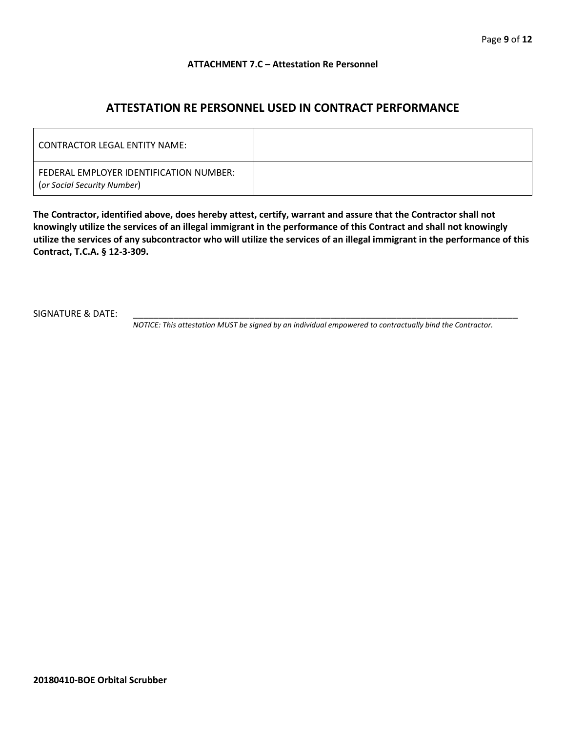#### **ATTACHMENT 7.C – Attestation Re Personnel**

## **ATTESTATION RE PERSONNEL USED IN CONTRACT PERFORMANCE**

| CONTRACTOR LEGAL ENTITY NAME:                                          |  |
|------------------------------------------------------------------------|--|
| FEDERAL EMPLOYER IDENTIFICATION NUMBER:<br>(or Social Security Number) |  |

**The Contractor, identified above, does hereby attest, certify, warrant and assure that the Contractor shall not knowingly utilize the services of an illegal immigrant in the performance of this Contract and shall not knowingly utilize the services of any subcontractor who will utilize the services of an illegal immigrant in the performance of this Contract, T.C.A. § 12-3-309.**

SIGNATURE & DATE:

*NOTICE: This attestation MUST be signed by an individual empowered to contractually bind the Contractor.*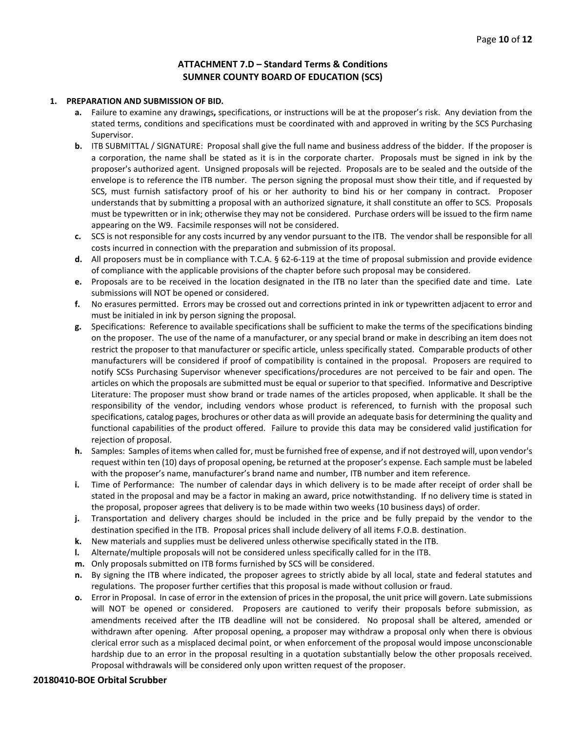#### **ATTACHMENT 7.D – Standard Terms & Conditions SUMNER COUNTY BOARD OF EDUCATION (SCS)**

#### **1. PREPARATION AND SUBMISSION OF BID.**

- **a.** Failure to examine any drawings**,** specifications, or instructions will be at the proposer's risk. Any deviation from the stated terms, conditions and specifications must be coordinated with and approved in writing by the SCS Purchasing Supervisor.
- **b.** ITB SUBMITTAL / SIGNATURE: Proposal shall give the full name and business address of the bidder. If the proposer is a corporation, the name shall be stated as it is in the corporate charter. Proposals must be signed in ink by the proposer's authorized agent. Unsigned proposals will be rejected. Proposals are to be sealed and the outside of the envelope is to reference the ITB number. The person signing the proposal must show their title, and if requested by SCS, must furnish satisfactory proof of his or her authority to bind his or her company in contract. Proposer understands that by submitting a proposal with an authorized signature, it shall constitute an offer to SCS. Proposals must be typewritten or in ink; otherwise they may not be considered. Purchase orders will be issued to the firm name appearing on the W9. Facsimile responses will not be considered.
- **c.** SCS is not responsible for any costs incurred by any vendor pursuant to the ITB. The vendor shall be responsible for all costs incurred in connection with the preparation and submission of its proposal.
- **d.** All proposers must be in compliance with T.C.A. § 62-6-119 at the time of proposal submission and provide evidence of compliance with the applicable provisions of the chapter before such proposal may be considered.
- **e.** Proposals are to be received in the location designated in the ITB no later than the specified date and time. Late submissions will NOT be opened or considered.
- **f.** No erasures permitted. Errors may be crossed out and corrections printed in ink or typewritten adjacent to error and must be initialed in ink by person signing the proposal.
- **g.** Specifications: Reference to available specifications shall be sufficient to make the terms of the specifications binding on the proposer. The use of the name of a manufacturer, or any special brand or make in describing an item does not restrict the proposer to that manufacturer or specific article, unless specifically stated. Comparable products of other manufacturers will be considered if proof of compatibility is contained in the proposal. Proposers are required to notify SCSs Purchasing Supervisor whenever specifications/procedures are not perceived to be fair and open. The articles on which the proposals are submitted must be equal or superior to that specified. Informative and Descriptive Literature: The proposer must show brand or trade names of the articles proposed, when applicable. It shall be the responsibility of the vendor, including vendors whose product is referenced, to furnish with the proposal such specifications, catalog pages, brochures or other data as will provide an adequate basis for determining the quality and functional capabilities of the product offered. Failure to provide this data may be considered valid justification for rejection of proposal.
- **h.** Samples: Samples of items when called for, must be furnished free of expense, and if not destroyed will, upon vendor's request within ten (10) days of proposal opening, be returned at the proposer's expense. Each sample must be labeled with the proposer's name, manufacturer's brand name and number, ITB number and item reference.
- **i.** Time of Performance: The number of calendar days in which delivery is to be made after receipt of order shall be stated in the proposal and may be a factor in making an award, price notwithstanding. If no delivery time is stated in the proposal, proposer agrees that delivery is to be made within two weeks (10 business days) of order.
- **j.** Transportation and delivery charges should be included in the price and be fully prepaid by the vendor to the destination specified in the ITB. Proposal prices shall include delivery of all items F.O.B. destination.
- **k.** New materials and supplies must be delivered unless otherwise specifically stated in the ITB.
- **l.** Alternate/multiple proposals will not be considered unless specifically called for in the ITB.
- **m.** Only proposals submitted on ITB forms furnished by SCS will be considered.
- **n.** By signing the ITB where indicated, the proposer agrees to strictly abide by all local, state and federal statutes and regulations. The proposer further certifies that this proposal is made without collusion or fraud.
- **o.** Error in Proposal. In case of error in the extension of prices in the proposal, the unit price will govern. Late submissions will NOT be opened or considered. Proposers are cautioned to verify their proposals before submission, as amendments received after the ITB deadline will not be considered. No proposal shall be altered, amended or withdrawn after opening. After proposal opening, a proposer may withdraw a proposal only when there is obvious clerical error such as a misplaced decimal point, or when enforcement of the proposal would impose unconscionable hardship due to an error in the proposal resulting in a quotation substantially below the other proposals received. Proposal withdrawals will be considered only upon written request of the proposer.

#### **20180410-BOE Orbital Scrubber**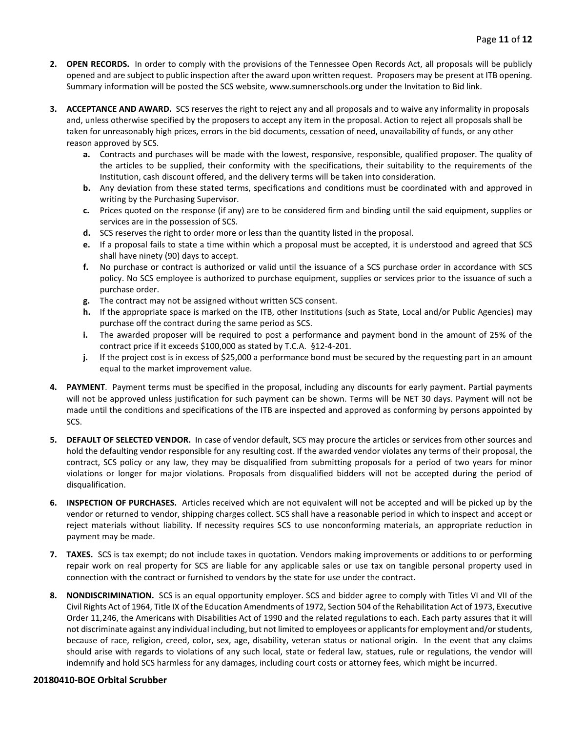- **2. OPEN RECORDS.** In order to comply with the provisions of the Tennessee Open Records Act, all proposals will be publicly opened and are subject to public inspection after the award upon written request. Proposers may be present at ITB opening. Summary information will be posted the SCS website, www.sumnerschools.org under the Invitation to Bid link.
- **3. ACCEPTANCE AND AWARD.** SCS reserves the right to reject any and all proposals and to waive any informality in proposals and, unless otherwise specified by the proposers to accept any item in the proposal. Action to reject all proposals shall be taken for unreasonably high prices, errors in the bid documents, cessation of need, unavailability of funds, or any other reason approved by SCS.
	- **a.** Contracts and purchases will be made with the lowest, responsive, responsible, qualified proposer. The quality of the articles to be supplied, their conformity with the specifications, their suitability to the requirements of the Institution, cash discount offered, and the delivery terms will be taken into consideration.
	- **b.** Any deviation from these stated terms, specifications and conditions must be coordinated with and approved in writing by the Purchasing Supervisor.
	- **c.** Prices quoted on the response (if any) are to be considered firm and binding until the said equipment, supplies or services are in the possession of SCS.
	- **d.** SCS reserves the right to order more or less than the quantity listed in the proposal.
	- **e.** If a proposal fails to state a time within which a proposal must be accepted, it is understood and agreed that SCS shall have ninety (90) days to accept.
	- **f.** No purchase or contract is authorized or valid until the issuance of a SCS purchase order in accordance with SCS policy. No SCS employee is authorized to purchase equipment, supplies or services prior to the issuance of such a purchase order.
	- **g.** The contract may not be assigned without written SCS consent.
	- **h.** If the appropriate space is marked on the ITB, other Institutions (such as State, Local and/or Public Agencies) may purchase off the contract during the same period as SCS.
	- **i.** The awarded proposer will be required to post a performance and payment bond in the amount of 25% of the contract price if it exceeds \$100,000 as stated by T.C.A. §12-4-201.
	- **j.** If the project cost is in excess of \$25,000 a performance bond must be secured by the requesting part in an amount equal to the market improvement value.
- **4. PAYMENT**. Payment terms must be specified in the proposal, including any discounts for early payment. Partial payments will not be approved unless justification for such payment can be shown. Terms will be NET 30 days. Payment will not be made until the conditions and specifications of the ITB are inspected and approved as conforming by persons appointed by SCS.
- **5. DEFAULT OF SELECTED VENDOR.** In case of vendor default, SCS may procure the articles or services from other sources and hold the defaulting vendor responsible for any resulting cost. If the awarded vendor violates any terms of their proposal, the contract, SCS policy or any law, they may be disqualified from submitting proposals for a period of two years for minor violations or longer for major violations. Proposals from disqualified bidders will not be accepted during the period of disqualification.
- **6. INSPECTION OF PURCHASES.** Articles received which are not equivalent will not be accepted and will be picked up by the vendor or returned to vendor, shipping charges collect. SCS shall have a reasonable period in which to inspect and accept or reject materials without liability. If necessity requires SCS to use nonconforming materials, an appropriate reduction in payment may be made.
- **7. TAXES.** SCS is tax exempt; do not include taxes in quotation. Vendors making improvements or additions to or performing repair work on real property for SCS are liable for any applicable sales or use tax on tangible personal property used in connection with the contract or furnished to vendors by the state for use under the contract.
- **8. NONDISCRIMINATION.** SCS is an equal opportunity employer. SCS and bidder agree to comply with Titles VI and VII of the Civil Rights Act of 1964, Title IX of the Education Amendments of 1972, Section 504 of the Rehabilitation Act of 1973, Executive Order 11,246, the Americans with Disabilities Act of 1990 and the related regulations to each. Each party assures that it will not discriminate against any individual including, but not limited to employees or applicants for employment and/or students, because of race, religion, creed, color, sex, age, disability, veteran status or national origin. In the event that any claims should arise with regards to violations of any such local, state or federal law, statues, rule or regulations, the vendor will indemnify and hold SCS harmless for any damages, including court costs or attorney fees, which might be incurred.

#### **20180410-BOE Orbital Scrubber**